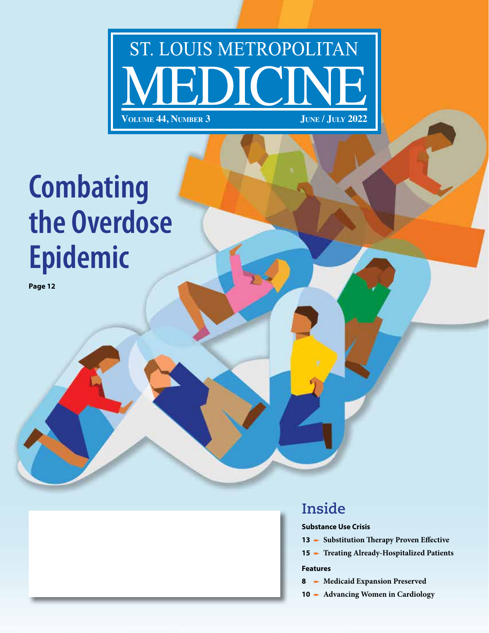# ST. LOUIS METROPOLITAN **VOLUME 44, NUMBER 3** JUNE / JULY 2022

# **Combating the Overdose Epidemic**

**Page 12**

### **Inside**

**Substance Use Crisis**

- **13** Substitution Therapy Proven Effective
- 15 Treating Already-Hospitalized Patients

#### **Features**

- **8** Medicaid Expansion Preserved
- **10** p **Advancing Women in Cardiology**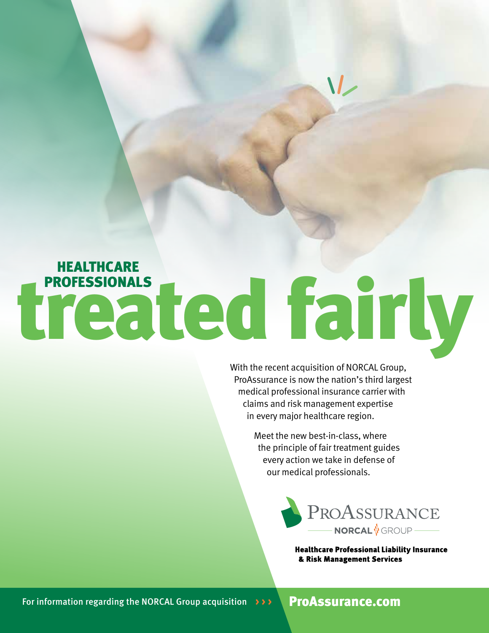# treated fairly **HEALTHCARE**

With the recent acquisition of NORCAL Group, ProAssurance is now the nation's third largest medical professional insurance carrier with claims and risk management expertise in every major healthcare region.

> Meet the new best-in-class, where the principle of fair treatment guides every action we take in defense of our medical professionals.



**Healthcare Professional Liability Insurance** & Risk Management Services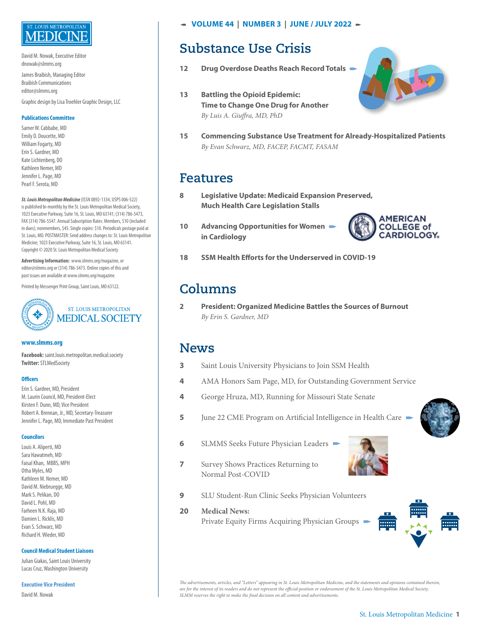### LOUIS METROPOLITAN

David M. Nowak, Executive Editor dnowak@slmms.org

James Braibish, Managing Editor Braibish Communications editor@slmms.org

Graphic design by Lisa Troehler Graphic Design, LLC

#### **Publications Committee**

Samer W. Cabbabe, MD Emily D. Doucette, MD William Fogarty, MD Erin S. Gardner, MD Kate Lichtenberg, DO Kathleen Nemer, MD Jennifer L. Page, MD Pearl F. Serota, MD

*St. Louis Metropolitan Medicine* (ISSN 0892-1334, USPS 006-522) is published bi-monthly by the St. Louis Metropolitan Medical Society, 1023 Executive Parkway, Suite 16, St. Louis, MO 63141; (314) 786-5473, FAX (314) 786-5547. Annual Subscription Rates: Members, \$10 (included in dues); nonmembers, \$45. Single copies: \$10. Periodicals postage paid at St. Louis, MO. POSTMASTER: Send address changes to: St. Louis Metropolitan Medicine; 1023 Executive Parkway, Suite 16, St. Louis, MO 63141. Copyright © 2020 St. Louis Metropolitan Medical Society

**Advertising Information:** www.slmms.org/magazine, or editor@slmms.org or (314) 786-5473. Online copies of this and past issues are available at www.slmms.org/magazine.

Printed by Messenger Print Group, Saint Louis, MO 63122.



#### **www.slmms.org**

**Facebook:** saint.louis.metropolitan.medical.society **Twitter:** STLMedSociety

#### **Officers**

Erin S. Gardner, MD, President M. Laurin Council, MD, President-Elect Kirsten F. Dunn, MD, Vice President Robert A. Brennan, Jr., MD, Secretary-Treasurer Jennifer L. Page, MD, Immediate Past President

#### **Councilors**

Louis A. Aliperti, MD Sara Hawatmeh, MD Faisal Khan, MBBS, MPH Otha Myles, MD Kathleen M. Nemer, MD David M. Niebruegge, MD Mark S. Pelikan, DO David L. Pohl, MD Farheen N.K. Raja, MD Damien L. Ricklis, MD Evan S. Schwarz, MD Richard H. Wieder, MD

#### **Council Medical Student Liaisons**

Julian Giakas, Saint Louis University Lucas Cruz, Washington University

#### **Executive Vice President**

David M. Nowak

f **VOLUME 44 | NUMBER 3 | JUNE / JULY 2022** p

### **Substance Use Crisis**

- 12 Drug Overdose Deaths Reach Record Totals **Property**
- **13 Battling the Opioid Epidemic: Time to Change One Drug for Another**   *By Luis A. Giuffra, MD, PhD*



**15 Commencing Substance Use Treatment for Already-Hospitalized Patients**   *By Evan Schwarz, MD, FACEP, FACMT, FASAM*

### **Features**

- **8 Legislative Update: Medicaid Expansion Preserved, Much Health Care Legislation Stalls**
- **10** Advancing Opportunities for Women<br>in Cardiology



**18 SSM Health Efforts for the Underserved in COVID-19**

### **Columns**

**2 President: Organized Medicine Battles the Sources of Burnout**  *By Erin S. Gardner, MD*

### **News**

- **3** Saint Louis University Physicians to Join SSM Health
- **4** AMA Honors Sam Page, MD, for Outstanding Government Service
- **4** George Hruza, MD, Running for Missouri State Senate
- **5** June 22 CME Program on Artificial Intelligence in Health Care
- **6** SLMMS Seeks Future Physician Leaders **parameters**



- **7** Survey Shows Practices Returning to Normal Post-COVID
- **9** SLU Student-Run Clinic Seeks Physician Volunteers
- **20 Medical News:** Private Equity Firms Acquiring Physician Groups p



*The advertisements, articles, and "Letters" appearing in St. Louis Metropolitan Medicine, and the statements and opinions contained therein, are for the interest of its readers and do not represent the official position or endorsement of the St. Louis Metropolitan Medical Society. SLMM reserves the right to make the final decision on all content and advertisements.*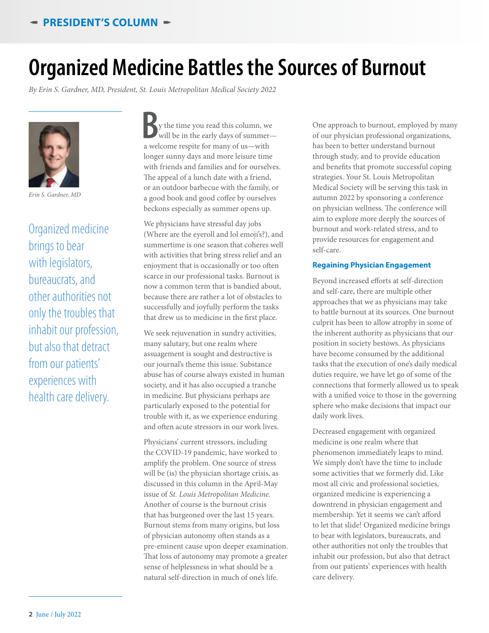## **Organized Medicine Battles the Sources of Burnout**

*By Erin S. Gardner, MD, President, St. Louis Metropolitan Medical Society 2022*



*Erin S. Gardner, MD*

Organized medicine brings to bear with legislators, bureaucrats, and other authorities not only the troubles that inhabit our profession, but also that detract from our patients' experiences with health care delivery.

**B** y the time you read this column, we will be in the early days of summer-<br>a welcome respite for many of us—with y the time you read this column, we will be in the early days of summerlonger sunny days and more leisure time with friends and families and for ourselves. The appeal of a lunch date with a friend, or an outdoor barbecue with the family, or a good book and good coffee by ourselves beckons especially as summer opens up.

We physicians have stressful day jobs (Where are the eyeroll and lol emoji's?), and summertime is one season that coheres well with activities that bring stress relief and an enjoyment that is occasionally or too often scarce in our professional tasks. Burnout is now a common term that is bandied about, because there are rather a lot of obstacles to successfully and joyfully perform the tasks that drew us to medicine in the first place.

We seek rejuvenation in sundry activities, many salutary, but one realm where assuagement is sought and destructive is our journal's theme this issue. Substance abuse has of course always existed in human society, and it has also occupied a tranche in medicine. But physicians perhaps are particularly exposed to the potential for trouble with it, as we experience enduring and often acute stressors in our work lives.

Physicians' current stressors, including the COVID-19 pandemic, have worked to amplify the problem. One source of stress will be (is) the physician shortage crisis, as discussed in this column in the April-May issue of *St. Louis Metropolitan Medicine*. Another of course is the burnout crisis that has burgeoned over the last 15 years. Burnout stems from many origins, but loss of physician autonomy often stands as a pre-eminent cause upon deeper examination. That loss of autonomy may promote a greater sense of helplessness in what should be a natural self-direction in much of one's life.

One approach to burnout, employed by many of our physician professional organizations, has been to better understand burnout through study, and to provide education and benefits that promote successful coping strategies. Your St. Louis Metropolitan Medical Society will be serving this task in autumn 2022 by sponsoring a conference on physician wellness. The conference will aim to explore more deeply the sources of burnout and work-related stress, and to provide resources for engagement and self-care.

#### **Regaining Physician Engagement**

Beyond increased efforts at self-direction and self-care, there are multiple other approaches that we as physicians may take to battle burnout at its sources. One burnout culprit has been to allow atrophy in some of the inherent authority as physicians that our position in society bestows. As physicians have become consumed by the additional tasks that the execution of one's daily medical duties require, we have let go of some of the connections that formerly allowed us to speak with a unified voice to those in the governing sphere who make decisions that impact our daily work lives.

Decreased engagement with organized medicine is one realm where that phenomenon immediately leaps to mind. We simply don't have the time to include some activities that we formerly did. Like most all civic and professional societies, organized medicine is experiencing a downtrend in physician engagement and membership. Yet it seems we can't afford to let that slide! Organized medicine brings to bear with legislators, bureaucrats, and other authorities not only the troubles that inhabit our profession, but also that detract from our patients' experiences with health care delivery.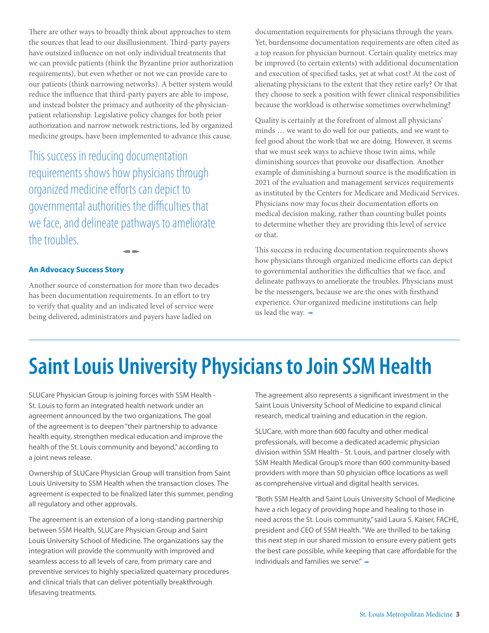There are other ways to broadly think about approaches to stem the sources that lead to our disillusionment. Third-party payers have outsized influence on not only individual treatments that we can provide patients (think the Byzantine prior authorization requirements), but even whether or not we can provide care to our patients (think narrowing networks). A better system would reduce the influence that third-party payers are able to impose, and instead bolster the primacy and authority of the physicianpatient relationship. Legislative policy changes for both prior authorization and narrow network restrictions, led by organized medicine groups, have been implemented to advance this cause.

This success in reducing documentation requirements shows how physicians through organized medicine efforts can depict to governmental authorities the difficulties that we face, and delineate pathways to ameliorate the troubles.

#### **An Advocacy Success Story**

Another source of consternation for more than two decades has been documentation requirements. In an effort to try to verify that quality and an indicated level of service were being delivered, administrators and payers have ladled on

 $\blacksquare$ 

documentation requirements for physicians through the years. Yet, burdensome documentation requirements are often cited as a top reason for physician burnout. Certain quality metrics may be improved (to certain extents) with additional documentation and execution of specified tasks, yet at what cost? At the cost of alienating physicians to the extent that they retire early? Or that they choose to seek a position with fewer clinical responsibilities because the workload is otherwise sometimes overwhelming?

Quality is certainly at the forefront of almost all physicians' minds … we want to do well for our patients, and we want to feel good about the work that we are doing. However, it seems that we must seek ways to achieve those twin aims, while diminishing sources that provoke our disaffection. Another example of diminishing a burnout source is the modification in 2021 of the evaluation and management services requirements as instituted by the Centers for Medicare and Medicaid Services. Physicians now may focus their documentation efforts on medical decision making, rather than counting bullet points to determine whether they are providing this level of service or that.

This success in reducing documentation requirements shows how physicians through organized medicine efforts can depict to governmental authorities the difficulties that we face, and delineate pathways to ameliorate the troubles. Physicians must be the messengers, because we are the ones with firsthand experience. Our organized medicine institutions can help us lead the way.  $\blacktriangleleft$ 

# **Saint Louis University Physicians to Join SSM Health**

SLUCare Physician Group is joining forces with SSM Health - St. Louis to form an integrated health network under an agreement announced by the two organizations. The goal of the agreement is to deepen "their partnership to advance health equity, strengthen medical education and improve the health of the St. Louis community and beyond," according to a joint news release.

Ownership of SLUCare Physician Group will transition from Saint Louis University to SSM Health when the transaction closes. The agreement is expected to be finalized later this summer, pending all regulatory and other approvals.

The agreement is an extension of a long-standing partnership between SSM Health, SLUCare Physician Group and Saint Louis University School of Medicine. The organizations say the integration will provide the community with improved and seamless access to all levels of care, from primary care and preventive services to highly specialized quaternary procedures and clinical trials that can deliver potentially breakthrough lifesaving treatments.

The agreement also represents a significant investment in the Saint Louis University School of Medicine to expand clinical research, medical training and education in the region.

SLUCare, with more than 600 faculty and other medical professionals, will become a dedicated academic physician division within SSM Health - St. Louis, and partner closely with SSM Health Medical Group's more than 600 community-based providers with more than 50 physician office locations as well as comprehensive virtual and digital health services.

"Both SSM Health and Saint Louis University School of Medicine have a rich legacy of providing hope and healing to those in need across the St. Louis community," said Laura S. Kaiser, FACHE, president and CEO of SSM Health. "We are thrilled to be taking this next step in our shared mission to ensure every patient gets the best care possible, while keeping that care affordable for the individuals and families we serve."  $\blacktriangleleft$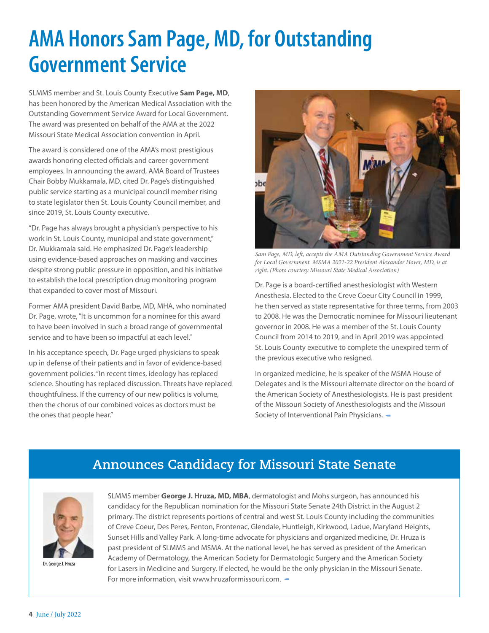# **AMA Honors Sam Page, MD, for Outstanding Government Service**

SLMMS member and St. Louis County Executive **Sam Page, MD**, has been honored by the American Medical Association with the Outstanding Government Service Award for Local Government. The award was presented on behalf of the AMA at the 2022 Missouri State Medical Association convention in April.

The award is considered one of the AMA's most prestigious awards honoring elected officials and career government employees. In announcing the award, AMA Board of Trustees Chair Bobby Mukkamala, MD, cited Dr. Page's distinguished public service starting as a municipal council member rising to state legislator then St. Louis County Council member, and since 2019, St. Louis County executive.

"Dr. Page has always brought a physician's perspective to his work in St. Louis County, municipal and state government," Dr. Mukkamala said. He emphasized Dr. Page's leadership using evidence-based approaches on masking and vaccines despite strong public pressure in opposition, and his initiative to establish the local prescription drug monitoring program that expanded to cover most of Missouri.

Former AMA president David Barbe, MD, MHA, who nominated Dr. Page, wrote, "It is uncommon for a nominee for this award to have been involved in such a broad range of governmental service and to have been so impactful at each level."

In his acceptance speech, Dr. Page urged physicians to speak up in defense of their patients and in favor of evidence-based government policies. "In recent times, ideology has replaced science. Shouting has replaced discussion. Threats have replaced thoughtfulness. If the currency of our new politics is volume, then the chorus of our combined voices as doctors must be the ones that people hear."



*Sam Page, MD, left, accepts the AMA Outstanding Government Service Award for Local Government. MSMA 2021-22 President Alexander Hover, MD, is at right. (Photo courtesy Missouri State Medical Association)*

Dr. Page is a board-certified anesthesiologist with Western Anesthesia. Elected to the Creve Coeur City Council in 1999, he then served as state representative for three terms, from 2003 to 2008. He was the Democratic nominee for Missouri lieutenant governor in 2008. He was a member of the St. Louis County Council from 2014 to 2019, and in April 2019 was appointed St. Louis County executive to complete the unexpired term of the previous executive who resigned.

In organized medicine, he is speaker of the MSMA House of Delegates and is the Missouri alternate director on the board of the American Society of Anesthesiologists. He is past president of the Missouri Society of Anesthesiologists and the Missouri Society of Interventional Pain Physicians.  $\blacktriangleleft$ 

### **Announces Candidacy for Missouri State Senate**



Dr. George J. Hruza

SLMMS member **George J. Hruza, MD, MBA**, dermatologist and Mohs surgeon, has announced his candidacy for the Republican nomination for the Missouri State Senate 24th District in the August 2 primary. The district represents portions of central and west St. Louis County including the communities of Creve Coeur, Des Peres, Fenton, Frontenac, Glendale, Huntleigh, Kirkwood, Ladue, Maryland Heights, Sunset Hills and Valley Park. A long-time advocate for physicians and organized medicine, Dr. Hruza is past president of SLMMS and MSMA. At the national level, he has served as president of the American Academy of Dermatology, the American Society for Dermatologic Surgery and the American Society for Lasers in Medicine and Surgery. If elected, he would be the only physician in the Missouri Senate. For more information, visit www.hruzaformissouri.com.  $\blacktriangleleft$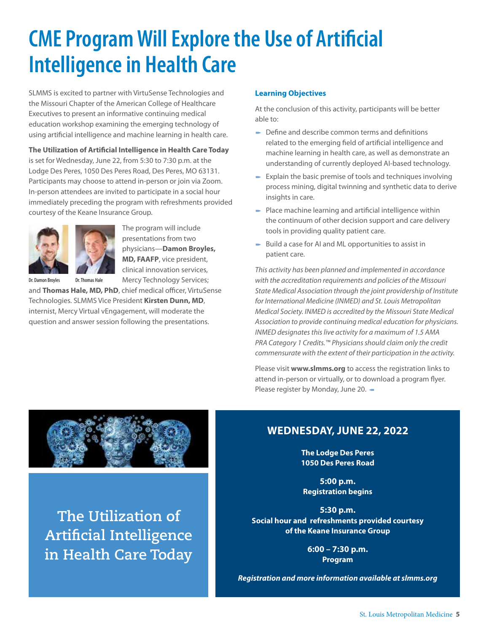# **CME Program Will Explore the Use of Artificial Intelligence in Health Care**

SLMMS is excited to partner with VirtuSense Technologies and the Missouri Chapter of the American College of Healthcare Executives to present an informative continuing medical education workshop examining the emerging technology of using artificial intelligence and machine learning in health care.

**The Utilization of Artificial Intelligence in Health Care Today** is set for Wednesday, June 22, from 5:30 to 7:30 p.m. at the Lodge Des Peres, 1050 Des Peres Road, Des Peres, MO 63131. Participants may choose to attend in-person or join via Zoom. In-person attendees are invited to participate in a social hour immediately preceding the program with refreshments provided courtesy of the Keane Insurance Group.



The program will include presentations from two physicians—**Damon Broyles, MD, FAAFP**, vice president, clinical innovation services, Mercy Technology Services;

Dr. Damon Broyles Dr. Thomas Hale

and **Thomas Hale, MD, PhD**, chief medical officer, VirtuSense

Technologies. SLMMS Vice President **Kirsten Dunn, MD**, internist, Mercy Virtual vEngagement, will moderate the question and answer session following the presentations.

#### **Learning Objectives**

At the conclusion of this activity, participants will be better able to:

- $\rightarrow$  Define and describe common terms and definitions related to the emerging field of artificial intelligence and machine learning in health care, as well as demonstrate an understanding of currently deployed AI-based technology.
- $\blacktriangleright$  Explain the basic premise of tools and techniques involving process mining, digital twinning and synthetic data to derive insights in care.
- $\blacktriangleright$  Place machine learning and artificial intelligence within the continuum of other decision support and care delivery tools in providing quality patient care.
- $\blacktriangleright$  Build a case for AI and ML opportunities to assist in patient care.

*This activity has been planned and implemented in accordance with the accreditation requirements and policies of the Missouri State Medical Association through the joint providership of Institute for International Medicine (INMED) and St. Louis Metropolitan Medical Society. INMED is accredited by the Missouri State Medical Association to provide continuing medical education for physicians. INMED designates this live activity for a maximum of 1.5 AMA PRA Category 1 Credits.™ Physicians should claim only the credit commensurate with the extent of their participation in the activity.*

Please visit **www.slmms.org** to access the registration links to attend in-person or virtually, or to download a program flyer. Please register by Monday, June 20. -



**The Utilization of Artificial Intelligence in Health Care Today**

### **WEDNESDAY, JUNE 22, 2022**

**The Lodge Des Peres 1050 Des Peres Road**

**5:00 p.m. Registration begins**

**5:30 p.m. Social hour and refreshments provided courtesy of the Keane Insurance Group**

> **6:00 – 7:30 p.m. Program**

*Registration and more information available at slmms.org*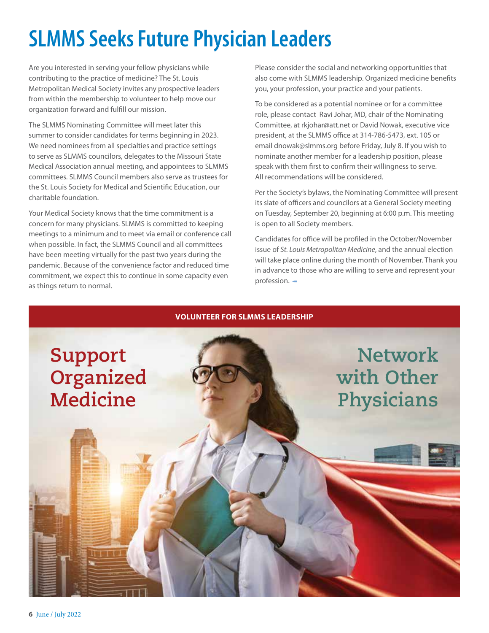# **SLMMS Seeks Future Physician Leaders**

Are you interested in serving your fellow physicians while contributing to the practice of medicine? The St. Louis Metropolitan Medical Society invites any prospective leaders from within the membership to volunteer to help move our organization forward and fulfill our mission.

The SLMMS Nominating Committee will meet later this summer to consider candidates for terms beginning in 2023. We need nominees from all specialties and practice settings to serve as SLMMS councilors, delegates to the Missouri State Medical Association annual meeting, and appointees to SLMMS committees. SLMMS Council members also serve as trustees for the St. Louis Society for Medical and Scientific Education, our charitable foundation.

Your Medical Society knows that the time commitment is a concern for many physicians. SLMMS is committed to keeping meetings to a minimum and to meet via email or conference call when possible. In fact, the SLMMS Council and all committees have been meeting virtually for the past two years during the pandemic. Because of the convenience factor and reduced time commitment, we expect this to continue in some capacity even as things return to normal.

Please consider the social and networking opportunities that also come with SLMMS leadership. Organized medicine benefits you, your profession, your practice and your patients.

To be considered as a potential nominee or for a committee role, please contact Ravi Johar, MD, chair of the Nominating Committee, at rkjohar@att.net or David Nowak, executive vice president, at the SLMMS office at 314-786-5473, ext. 105 or email dnowak@slmms.org before Friday, July 8. If you wish to nominate another member for a leadership position, please speak with them first to confirm their willingness to serve. All recommendations will be considered.

Per the Society's bylaws, the Nominating Committee will present its slate of officers and councilors at a General Society meeting on Tuesday, September 20, beginning at 6:00 p.m. This meeting is open to all Society members.

Candidates for office will be profiled in the October/November issue of *St. Louis Metropolitan Medicine*, and the annual election will take place online during the month of November. Thank you in advance to those who are willing to serve and represent your profession. $-$ 

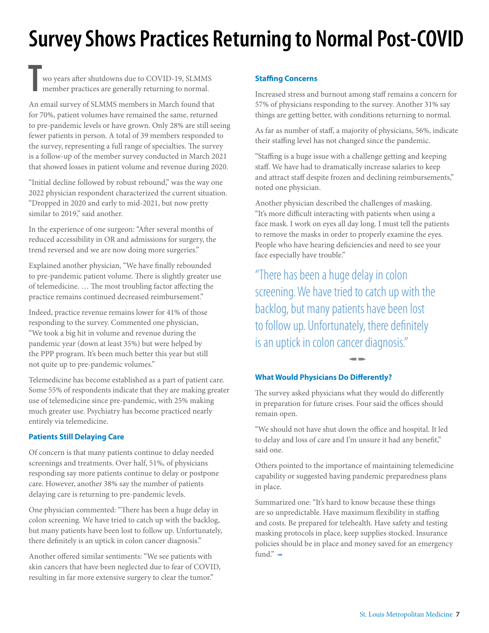# **Survey Shows Practices Returning to Normal Post-COVID**

**T** wo years after shutdowns due to COVID-19, SLMMS member practices are generally returning to normal.

An email survey of SLMMS members in March found that for 70%, patient volumes have remained the same, returned to pre-pandemic levels or have grown. Only 28% are still seeing fewer patients in person. A total of 39 members responded to the survey, representing a full range of specialties. The survey is a follow-up of the member survey conducted in March 2021 that showed losses in patient volume and revenue during 2020.

"Initial decline followed by robust rebound," was the way one 2022 physician respondent characterized the current situation. "Dropped in 2020 and early to mid-2021, but now pretty similar to 2019," said another.

In the experience of one surgeon: "After several months of reduced accessibility in OR and admissions for surgery, the trend reversed and we are now doing more surgeries."

Explained another physician, "We have finally rebounded to pre-pandemic patient volume. There is slightly greater use of telemedicine. … The most troubling factor affecting the practice remains continued decreased reimbursement."

Indeed, practice revenue remains lower for 41% of those responding to the survey. Commented one physician, "We took a big hit in volume and revenue during the pandemic year (down at least 35%) but were helped by the PPP program. It's been much better this year but still not quite up to pre-pandemic volumes."

Telemedicine has become established as a part of patient care. Some 55% of respondents indicate that they are making greater use of telemedicine since pre-pandemic, with 25% making much greater use. Psychiatry has become practiced nearly entirely via telemedicine.

#### **Patients Still Delaying Care**

Of concern is that many patients continue to delay needed screenings and treatments. Over half, 51%, of physicians responding say more patients continue to delay or postpone care. However, another 38% say the number of patients delaying care is returning to pre-pandemic levels.

One physician commented: "There has been a huge delay in colon screening. We have tried to catch up with the backlog, but many patients have been lost to follow up. Unfortunately, there definitely is an uptick in colon cancer diagnosis."

Another offered similar sentiments: "We see patients with skin cancers that have been neglected due to fear of COVID, resulting in far more extensive surgery to clear the tumor."

#### **Staffing Concerns**

Increased stress and burnout among staff remains a concern for 57% of physicians responding to the survey. Another 31% say things are getting better, with conditions returning to normal.

As far as number of staff, a majority of physicians, 56%, indicate their staffing level has not changed since the pandemic.

"Staffing is a huge issue with a challenge getting and keeping staff. We have had to dramatically increase salaries to keep and attract staff despite frozen and declining reimbursements," noted one physician.

Another physician described the challenges of masking. "It's more difficult interacting with patients when using a face mask. I work on eyes all day long. I must tell the patients to remove the masks in order to properly examine the eyes. People who have hearing deficiencies and need to see your face especially have trouble."

"There has been a huge delay in colon screening. We have tried to catch up with the backlog, but many patients have been lost to follow up. Unfortunately, there definitely is an uptick in colon cancer diagnosis."

#### **What Would Physicians Do Differently?**

The survey asked physicians what they would do differently in preparation for future crises. Four said the offices should remain open.

 $\blacksquare$ 

"We should not have shut down the office and hospital. It led to delay and loss of care and I'm unsure it had any benefit," said one.

Others pointed to the importance of maintaining telemedicine capability or suggested having pandemic preparedness plans in place.

Summarized one: "It's hard to know because these things are so unpredictable. Have maximum flexibility in staffing and costs. Be prepared for telehealth. Have safety and testing masking protocols in place, keep supplies stocked. Insurance policies should be in place and money saved for an emergency fund." $-$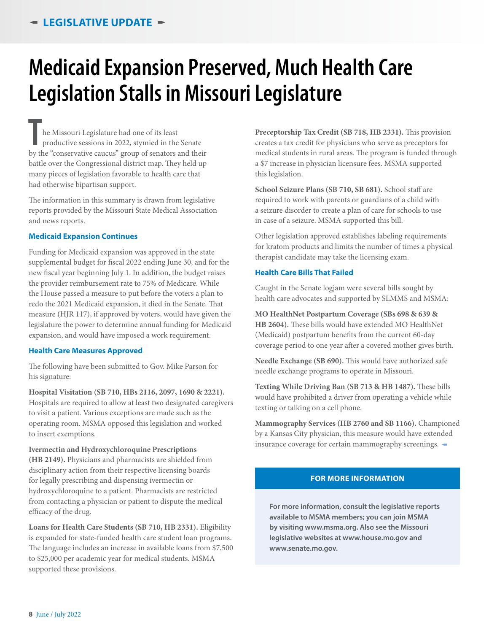# **Medicaid Expansion Preserved, Much Health Care Legislation Stalls in Missouri Legislature**

**T**be Missouri Legislature had one of its least<br>
productive sessions in 2022, stymied in the Senate<br>
by the "conservative caucus" group of senators and their he Missouri Legislature had one of its least productive sessions in 2022, stymied in the Senate battle over the Congressional district map. They held up many pieces of legislation favorable to health care that had otherwise bipartisan support.

The information in this summary is drawn from legislative reports provided by the Missouri State Medical Association and news reports.

#### **Medicaid Expansion Continues**

Funding for Medicaid expansion was approved in the state supplemental budget for fiscal 2022 ending June 30, and for the new fiscal year beginning July 1. In addition, the budget raises the provider reimbursement rate to 75% of Medicare. While the House passed a measure to put before the voters a plan to redo the 2021 Medicaid expansion, it died in the Senate. That measure (HJR 117), if approved by voters, would have given the legislature the power to determine annual funding for Medicaid expansion, and would have imposed a work requirement.

#### **Health Care Measures Approved**

The following have been submitted to Gov. Mike Parson for his signature:

**Hospital Visitation (SB 710, HBs 2116, 2097, 1690 & 2221).** Hospitals are required to allow at least two designated caregivers to visit a patient. Various exceptions are made such as the operating room. MSMA opposed this legislation and worked to insert exemptions.

**Ivermectin and Hydroxychloroquine Prescriptions (HB 2149).** Physicians and pharmacists are shielded from disciplinary action from their respective licensing boards for legally prescribing and dispensing ivermectin or hydroxychloroquine to a patient. Pharmacists are restricted from contacting a physician or patient to dispute the medical efficacy of the drug.

**Loans for Health Care Students (SB 710, HB 2331).** Eligibility is expanded for state-funded health care student loan programs. The language includes an increase in available loans from \$7,500 to \$25,000 per academic year for medical students. MSMA supported these provisions.

**Preceptorship Tax Credit (SB 718, HB 2331).** This provision creates a tax credit for physicians who serve as preceptors for medical students in rural areas. The program is funded through a \$7 increase in physician licensure fees. MSMA supported this legislation.

**School Seizure Plans (SB 710, SB 681).** School staff are required to work with parents or guardians of a child with a seizure disorder to create a plan of care for schools to use in case of a seizure. MSMA supported this bill.

Other legislation approved establishes labeling requirements for kratom products and limits the number of times a physical therapist candidate may take the licensing exam.

#### **Health Care Bills That Failed**

Caught in the Senate logjam were several bills sought by health care advocates and supported by SLMMS and MSMA:

#### **MO HealthNet Postpartum Coverage (SBs 698 & 639 &**

**HB 2604).** These bills would have extended MO HealthNet (Medicaid) postpartum benefits from the current 60-day coverage period to one year after a covered mother gives birth.

**Needle Exchange (SB 690).** This would have authorized safe needle exchange programs to operate in Missouri.

**Texting While Driving Ban (SB 713 & HB 1487).** These bills would have prohibited a driver from operating a vehicle while texting or talking on a cell phone.

**Mammography Services (HB 2760 and SB 1166).** Championed by a Kansas City physician, this measure would have extended insurance coverage for certain mammography screenings.  $\blacktriangleleft$ 

#### **FOR MORE INFORMATION**

**For more information, consult the legislative reports available to MSMA members; you can join MSMA by visiting www.msma.org. Also see the Missouri legislative websites at www.house.mo.gov and www.senate.mo.gov.**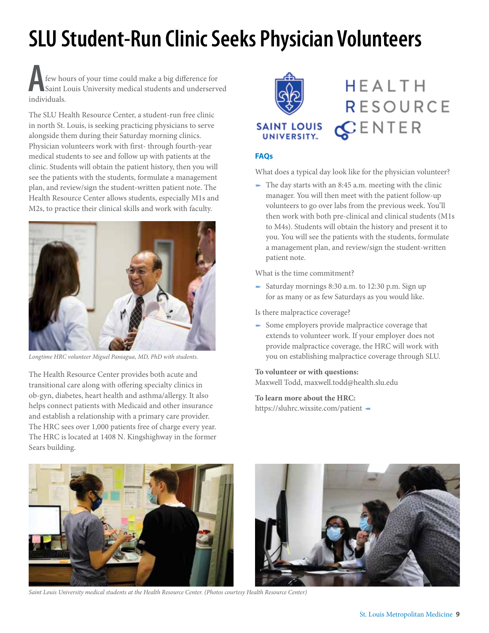# **SLU Student-Run Clinic Seeks Physician Volunteers**

**A**<br> **A**<br> **A**<br> **Saint I**<br> **individuals.** few hours of your time could make a big difference for Saint Louis University medical students and underserved

The SLU Health Resource Center, a student-run free clinic in north St. Louis, is seeking practicing physicians to serve alongside them during their Saturday morning clinics. Physician volunteers work with first- through fourth-year medical students to see and follow up with patients at the clinic. Students will obtain the patient history, then you will see the patients with the students, formulate a management plan, and review/sign the student-written patient note. The Health Resource Center allows students, especially M1s and M2s, to practice their clinical skills and work with faculty.



*Longtime HRC volunteer Miguel Paniagua, MD, PhD with students.*

The Health Resource Center provides both acute and transitional care along with offering specialty clinics in ob-gyn, diabetes, heart health and asthma/allergy. It also helps connect patients with Medicaid and other insurance and establish a relationship with a primary care provider. The HRC sees over 1,000 patients free of charge every year. The HRC is located at 1408 N. Kingshighway in the former Sears building.



**HEALTH RESOURCE**  $C$ ENTER

#### **FAQs**

What does a typical day look like for the physician volunteer?

- The day starts with an  $8:45$  a.m. meeting with the clinic manager. You will then meet with the patient follow-up volunteers to go over labs from the previous week. You'll then work with both pre-clinical and clinical students (M1s to M4s). Students will obtain the history and present it to you. You will see the patients with the students, formulate a management plan, and review/sign the student-written patient note.

What is the time commitment?

- Saturday mornings 8:30 a.m. to 12:30 p.m. Sign up for as many or as few Saturdays as you would like.

Is there malpractice coverage?

 $\blacktriangleright$  Some employers provide malpractice coverage that extends to volunteer work. If your employer does not provide malpractice coverage, the HRC will work with you on establishing malpractice coverage through SLU.

#### **To volunteer or with questions:**

Maxwell Todd, maxwell.todd@health.slu.edu

**To learn more about the HRC:**

https://sluhrc.wixsite.com/patient -



*Saint Louis University medical students at the Health Resource Center. (Photos courtesy Health Resource Center)*

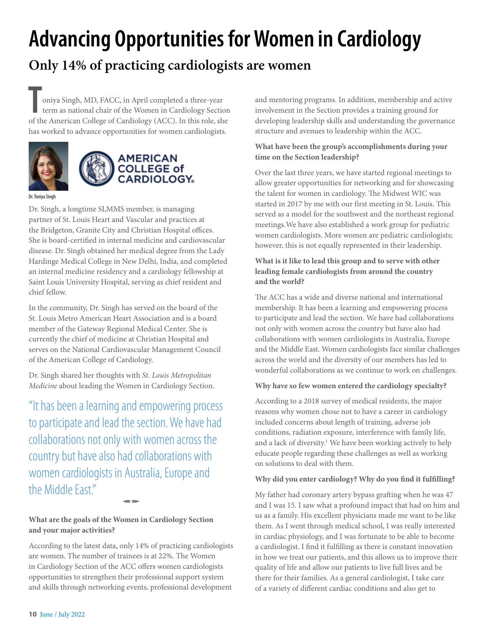# **Advancing Opportunities for Women in Cardiology**

### **Only 14% of practicing cardiologists are women**

oniya Singh, MD, FACC, in April completed a three-year term as national chair of the Women in Cardiology Section of the American College of Cardiology (ACC). In this role, she oniya Singh, MD, FACC, in April completed a three-year term as national chair of the Women in Cardiology Section has worked to advance opportunities for women cardiologists.





Dr. Toniya Singh

Dr. Singh, a longtime SLMMS member, is managing partner of St. Louis Heart and Vascular and practices at the Bridgeton, Granite City and Christian Hospital offices. She is board-certified in internal medicine and cardiovascular disease. Dr. Singh obtained her medical degree from the Lady Hardinge Medical College in New Delhi, India, and completed an internal medicine residency and a cardiology fellowship at Saint Louis University Hospital, serving as chief resident and chief fellow.

In the community, Dr. Singh has served on the board of the St. Louis Metro American Heart Association and is a board member of the Gateway Regional Medical Center. She is currently the chief of medicine at Christian Hospital and serves on the National Cardiovascular Management Council of the American College of Cardiology.

Dr. Singh shared her thoughts with *St. Louis Metropolitan Medicine* about leading the Women in Cardiology Section.

"It has been a learning and empowering process to participate and lead the section. We have had collaborations not only with women across the country but have also had collaborations with women cardiologists in Australia, Europe and the Middle East."

#### **What are the goals of the Women in Cardiology Section and your major activities?**

According to the latest data, only 14% of practicing cardiologists are women. The number of trainees is at 22%. The Women in Cardiology Section of the ACC offers women cardiologists opportunities to strengthen their professional support system and skills through networking events, professional development

 $\blacksquare$ 

and mentoring programs. In addition, membership and active involvement in the Section provides a training ground for developing leadership skills and understanding the governance structure and avenues to leadership within the ACC.

#### **What have been the group's accomplishments during your time on the Section leadership?**

Over the last three years, we have started regional meetings to allow greater opportunities for networking and for showcasing the talent for women in cardiology. The Midwest WIC was started in 2017 by me with our first meeting in St. Louis. This served as a model for the southwest and the northeast regional meetings.We have also established a work group for pediatric women cardiologists. More women are pediatric cardiologists; however, this is not equally represented in their leadership.

#### **What is it like to lead this group and to serve with other leading female cardiologists from around the country and the world?**

The ACC has a wide and diverse national and international membership. It has been a learning and empowering process to participate and lead the section. We have had collaborations not only with women across the country but have also had collaborations with women cardiologists in Australia, Europe and the Middle East. Women cardiologists face similar challenges across the world and the diversity of our members has led to wonderful collaborations as we continue to work on challenges.

#### **Why have so few women entered the cardiology specialty?**

According to a 2018 survey of medical residents, the major reasons why women chose not to have a career in cardiology included concerns about length of training, adverse job conditions, radiation exposure, interference with family life, and a lack of diversity.<sup>1</sup> We have been working actively to help educate people regarding these challenges as well as working on solutions to deal with them.

#### **Why did you enter cardiology? Why do you find it fulfilling?**

My father had coronary artery bypass grafting when he was 47 and I was 15. I saw what a profound impact that had on him and us as a family. His excellent physicians made me want to be like them. As I went through medical school, I was really interested in cardiac physiology, and I was fortunate to be able to become a cardiologist. I find it fulfilling as there is constant innovation in how we treat our patients, and this allows us to improve their quality of life and allow our patients to live full lives and be there for their families. As a general cardiologist, I take care of a variety of different cardiac conditions and also get to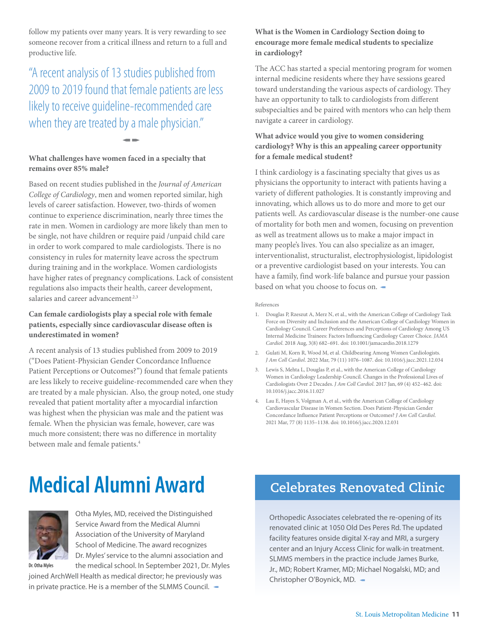follow my patients over many years. It is very rewarding to see someone recover from a critical illness and return to a full and productive life.

### "A recent analysis of 13 studies published from 2009 to 2019 found that female patients are less likely to receive guideline-recommended care when they are treated by a male physician."

 $\blacksquare$ 

#### **What challenges have women faced in a specialty that remains over 85% male?**

Based on recent studies published in the *Journal of American College of Cardiology*, men and women reported similar, high levels of career satisfaction. However, two-thirds of women continue to experience discrimination, nearly three times the rate in men. Women in cardiology are more likely than men to be single, not have children or require paid /unpaid child care in order to work compared to male cardiologists. There is no consistency in rules for maternity leave across the spectrum during training and in the workplace. Women cardiologists have higher rates of pregnancy complications. Lack of consistent regulations also impacts their health, career development, salaries and career advancement<sup>2,3</sup>

#### **Can female cardiologists play a special role with female patients, especially since cardiovascular disease often is underestimated in women?**

A recent analysis of 13 studies published from 2009 to 2019 ("Does Patient-Physician Gender Concordance Influence Patient Perceptions or Outcomes?") found that female patients are less likely to receive guideline-recommended care when they are treated by a male physician. Also, the group noted, one study revealed that patient mortality after a myocardial infarction was highest when the physician was male and the patient was female. When the physician was female, however, care was much more consistent; there was no difference in mortality between male and female patients.<sup>4</sup>

#### **What is the Women in Cardiology Section doing to encourage more female medical students to specialize in cardiology?**

The ACC has started a special mentoring program for women internal medicine residents where they have sessions geared toward understanding the various aspects of cardiology. They have an opportunity to talk to cardiologists from different subspecialties and be paired with mentors who can help them navigate a career in cardiology.

#### **What advice would you give to women considering cardiology? Why is this an appealing career opportunity for a female medical student?**

I think cardiology is a fascinating specialty that gives us as physicians the opportunity to interact with patients having a variety of different pathologies. It is constantly improving and innovating, which allows us to do more and more to get our patients well. As cardiovascular disease is the number-one cause of mortality for both men and women, focusing on prevention as well as treatment allows us to make a major impact in many people's lives. You can also specialize as an imager, interventionalist, structuralist, electrophysiologist, lipidologist or a preventive cardiologist based on your interests. You can have a family, find work-life balance and pursue your passion based on what you choose to focus on.  $\blacksquare$ 

References

- 1. Douglas P, Rzeszut A, Merz N, et al., with the American College of Cardiology Task Force on Diversity and Inclusion and the American College of Cardiology Women in Cardiology Council. Career Preferences and Perceptions of Cardiology Among US Internal Medicine Trainees: Factors Influencing Cardiology Career Choice. *JAMA Cardiol*. 2018 Aug, 3(8) 682–691. doi: 10.1001/jamacardio.2018.1279
- 2. Gulati M, Korn R, Wood M, et al. Childbearing Among Women Cardiologists. *J Am Coll Cardiol*. 2022 Mar, 79 (11) 1076–1087. doi: 10.1016/j.jacc.2021.12.034
- 3. Lewis S, Mehta L, Douglas P, et al., with the American College of Cardiology Women in Cardiology Leadership Council. Changes in the Professional Lives of Cardiologists Over 2 Decades. *J Am Coll Cardiol*. 2017 Jan, 69 (4) 452–462. doi: 10.1016/j.jacc.2016.11.027
- 4. Lau E, Hayes S, Volgman A, et al., with the American College of Cardiology Cardiovascular Disease in Women Section. Does Patient-Physician Gender Concordance Influence Patient Perceptions or Outcomes? *J Am Coll Cardiol*. 2021 Mar, 77 (8) 1135–1138. doi: 10.1016/j.jacc.2020.12.031

# **Medical Alumni Award**



Otha Myles, MD, received the Distinguished Service Award from the Medical Alumni Association of the University of Maryland School of Medicine. The award recognizes Dr. Myles' service to the alumni association and

the medical school. In September 2021, Dr. Myles joined ArchWell Health as medical director; he previously was in private practice. He is a member of the SLMMS Council.  $\blacktriangleleft$ Dr. Otha Myles

### **Celebrates Renovated Clinic**

Orthopedic Associates celebrated the re-opening of its renovated clinic at 1050 Old Des Peres Rd. The updated facility features onside digital X-ray and MRI, a surgery center and an Injury Access Clinic for walk-in treatment. SLMMS members in the practice include James Burke, Jr., MD; Robert Kramer, MD; Michael Nogalski, MD; and Christopher O'Boynick, MD. -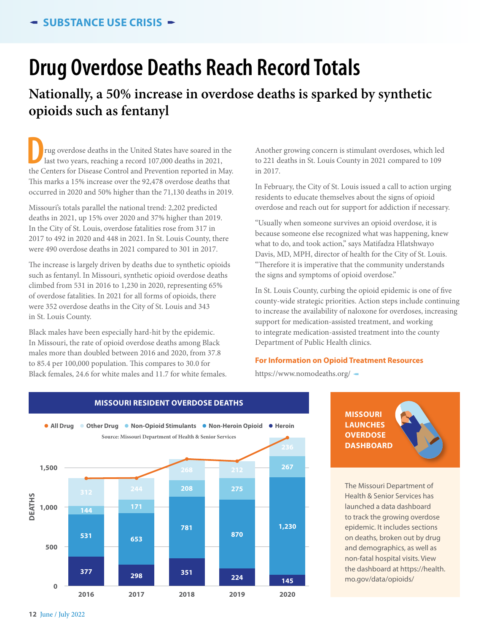### **Drug Overdose Deaths Reach Record Totals**

### **Nationally, a 50% increase in overdose deaths is sparked by synthetic opioids such as fentanyl**

**D**the Centers for Disease Control and Prevention reported in May.<br>
the Centers for Disease Control and Prevention reported in May. rug overdose deaths in the United States have soared in the last two years, reaching a record 107,000 deaths in 2021, This marks a 15% increase over the 92,478 overdose deaths that occurred in 2020 and 50% higher than the 71,130 deaths in 2019.

Missouri's totals parallel the national trend: 2,202 predicted deaths in 2021, up 15% over 2020 and 37% higher than 2019. In the City of St. Louis, overdose fatalities rose from 317 in 2017 to 492 in 2020 and 448 in 2021. In St. Louis County, there were 490 overdose deaths in 2021 compared to 301 in 2017.

The increase is largely driven by deaths due to synthetic opioids such as fentanyl. In Missouri, synthetic opioid overdose deaths climbed from 531 in 2016 to 1,230 in 2020, representing 65% of overdose fatalities. In 2021 for all forms of opioids, there were 352 overdose deaths in the City of St. Louis and 343 in St. Louis County.

Black males have been especially hard-hit by the epidemic. In Missouri, the rate of opioid overdose deaths among Black males more than doubled between 2016 and 2020, from 37.8 to 85.4 per 100,000 population. This compares to 30.0 for Black females, 24.6 for white males and 11.7 for white females.

Another growing concern is stimulant overdoses, which led to 221 deaths in St. Louis County in 2021 compared to 109 in 2017.

In February, the City of St. Louis issued a call to action urging residents to educate themselves about the signs of opioid overdose and reach out for support for addiction if necessary.

"Usually when someone survives an opioid overdose, it is because someone else recognized what was happening, knew what to do, and took action," says Matifadza Hlatshwayo Davis, MD, MPH, director of health for the City of St. Louis. "Therefore it is imperative that the community understands the signs and symptoms of opioid overdose."

In St. Louis County, curbing the opioid epidemic is one of five county-wide strategic priorities. Action steps include continuing to increase the availability of naloxone for overdoses, increasing support for medication-assisted treatment, and working to integrate medication-assisted treatment into the county Department of Public Health clinics.

#### **For Information on Opioid Treatment Resources**

https://www.nomodeaths.org/  $-$ 



**MISSOURI RESIDENT OVERDOSE DEATHS**

**MISSOURI LAUNCHES OVERDOSE DASHBOARD** 



The Missouri Department of Health & Senior Services has launched a data dashboard to track the growing overdose epidemic. It includes sections on deaths, broken out by drug and demographics, as well as non-fatal hospital visits. View the dashboard at https://health. **145** mo.gov/data/opioids/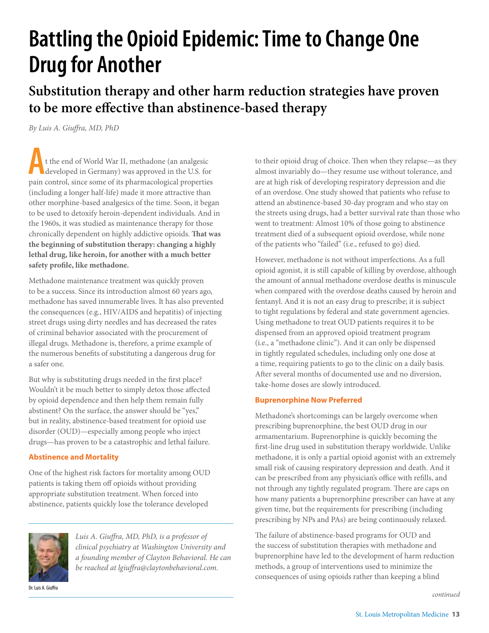# **Battling the Opioid Epidemic: Time to Change One Drug for Another**

**Substitution therapy and other harm reduction strategies have proven to be more effective than abstinence-based therapy**

*By Luis A. Giuffra, MD, PhD*

**A** pain control, since some of its pharmacological properties t the end of World War II, methadone (an analgesic developed in Germany) was approved in the U.S. for (including a longer half-life) made it more attractive than other morphine-based analgesics of the time. Soon, it began to be used to detoxify heroin-dependent individuals. And in the 1960s, it was studied as maintenance therapy for those chronically dependent on highly addictive opioids. **That was the beginning of substitution therapy: changing a highly lethal drug, like heroin, for another with a much better safety profile, like methadone.**

Methadone maintenance treatment was quickly proven to be a success. Since its introduction almost 60 years ago, methadone has saved innumerable lives. It has also prevented the consequences (e.g., HIV/AIDS and hepatitis) of injecting street drugs using dirty needles and has decreased the rates of criminal behavior associated with the procurement of illegal drugs. Methadone is, therefore, a prime example of the numerous benefits of substituting a dangerous drug for a safer one.

But why is substituting drugs needed in the first place? Wouldn't it be much better to simply detox those affected by opioid dependence and then help them remain fully abstinent? On the surface, the answer should be "yes," but in reality, abstinence-based treatment for opioid use disorder (OUD)—especially among people who inject drugs—has proven to be a catastrophic and lethal failure.

#### **Abstinence and Mortality**

One of the highest risk factors for mortality among OUD patients is taking them off opioids without providing appropriate substitution treatment. When forced into abstinence, patients quickly lose the tolerance developed



*Luis A. Giuffra, MD, PhD, is a professor of clinical psychiatry at Washington University and a founding member of Clayton Behavioral. He can be reached at lgiuffra@claytonbehavioral.com.*

Dr. Luis A. Giuffra

to their opioid drug of choice. Then when they relapse—as they almost invariably do—they resume use without tolerance, and are at high risk of developing respiratory depression and die of an overdose. One study showed that patients who refuse to attend an abstinence-based 30-day program and who stay on the streets using drugs, had a better survival rate than those who went to treatment: Almost 10% of those going to abstinence treatment died of a subsequent opioid overdose, while none of the patients who "failed" (i.e., refused to go) died.

However, methadone is not without imperfections. As a full opioid agonist, it is still capable of killing by overdose, although the amount of annual methadone overdose deaths is minuscule when compared with the overdose deaths caused by heroin and fentanyl. And it is not an easy drug to prescribe; it is subject to tight regulations by federal and state government agencies. Using methadone to treat OUD patients requires it to be dispensed from an approved opioid treatment program (i.e., a "methadone clinic"). And it can only be dispensed in tightly regulated schedules, including only one dose at a time, requiring patients to go to the clinic on a daily basis. After several months of documented use and no diversion, take-home doses are slowly introduced.

#### **Buprenorphine Now Preferred**

Methadone's shortcomings can be largely overcome when prescribing buprenorphine, the best OUD drug in our armamentarium. Buprenorphine is quickly becoming the first-line drug used in substitution therapy worldwide. Unlike methadone, it is only a partial opioid agonist with an extremely small risk of causing respiratory depression and death. And it can be prescribed from any physician's office with refills, and not through any tightly regulated program. There are caps on how many patients a buprenorphine prescriber can have at any given time, but the requirements for prescribing (including prescribing by NPs and PAs) are being continuously relaxed.

The failure of abstinence-based programs for OUD and the success of substitution therapies with methadone and buprenorphine have led to the development of harm reduction methods, a group of interventions used to minimize the consequences of using opioids rather than keeping a blind

*continued*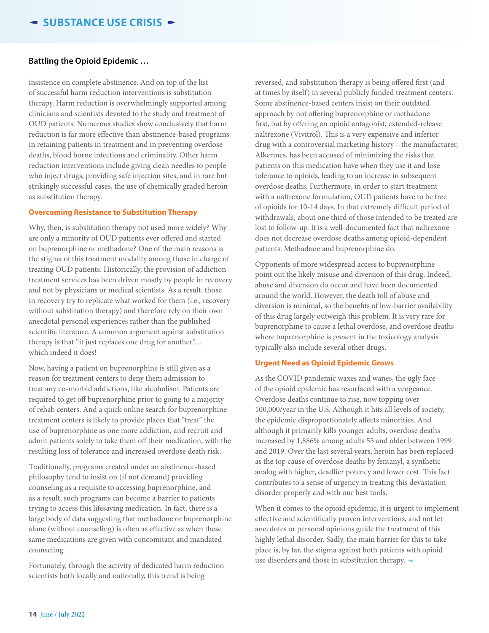#### **Battling the Opioid Epidemic …**

insistence on complete abstinence. And on top of the list of successful harm reduction interventions is substitution therapy. Harm reduction is overwhelmingly supported among clinicians and scientists devoted to the study and treatment of OUD patients. Numerous studies show conclusively that harm reduction is far more effective than abstinence-based programs in retaining patients in treatment and in preventing overdose deaths, blood borne infections and criminality. Other harm reduction interventions include giving clean needles to people who inject drugs, providing safe injection sites, and in rare but strikingly successful cases, the use of chemically graded heroin as substitution therapy.

#### **Overcoming Resistance to Substitution Therapy**

Why, then, is substitution therapy not used more widely? Why are only a minority of OUD patients ever offered and started on buprenorphine or methadone? One of the main reasons is the stigma of this treatment modality among those in charge of treating OUD patients. Historically, the provision of addiction treatment services has been driven mostly by people in recovery and not by physicians or medical scientists. As a result, those in recovery try to replicate what worked for them (i.e., recovery without substitution therapy) and therefore rely on their own anecdotal personal experiences rather than the published scientific literature. A common argument against substitution therapy is that "it just replaces one drug for another"… which indeed it does!

Now, having a patient on buprenorphine is still given as a reason for treatment centers to deny them admission to treat any co-morbid addictions, like alcoholism. Patients are required to get off buprenorphine prior to going to a majority of rehab centers. And a quick online search for buprenorphine treatment centers is likely to provide places that "treat" the use of buprenorphine as one more addiction, and recruit and admit patients solely to take them off their medication, with the resulting loss of tolerance and increased overdose death risk.

Traditionally, programs created under an abstinence-based philosophy tend to insist on (if not demand) providing counseling as a requisite to accessing buprenorphine, and as a result, such programs can become a barrier to patients trying to access this lifesaving medication. In fact, there is a large body of data suggesting that methadone or buprenorphine alone (without counseling) is often as effective as when these same medications are given with concomitant and mandated counseling.

Fortunately, through the activity of dedicated harm reduction scientists both locally and nationally, this trend is being

reversed, and substitution therapy is being offered first (and at times by itself) in several publicly funded treatment centers. Some abstinence-based centers insist on their outdated approach by not offering buprenorphine or methadone first, but by offering an opioid antagonist, extended-release naltrexone (Vivitrol). This is a very expensive and inferior drug with a controversial marketing history—the manufacturer, Alkermes, has been accused of minimizing the risks that patients on this medication have when they use it and lose tolerance to opioids, leading to an increase in subsequent overdose deaths. Furthermore, in order to start treatment with a naltrexone formulation, OUD patients have to be free of opioids for 10-14 days. In that extremely difficult period of withdrawals, about one third of those intended to be treated are lost to follow-up. It is a well-documented fact that naltrexone does not decrease overdose deaths among opioid-dependent patients. Methadone and buprenorphine do.

Opponents of more widespread access to buprenorphine point out the likely misuse and diversion of this drug. Indeed, abuse and diversion do occur and have been documented around the world. However, the death toll of abuse and diversion is minimal, so the benefits of low-barrier availability of this drug largely outweigh this problem. It is very rare for buprenorphine to cause a lethal overdose, and overdose deaths where buprenorphine is present in the toxicology analysis typically also include several other drugs.

#### **Urgent Need as Opioid Epidemic Grows**

As the COVID pandemic waxes and wanes, the ugly face of the opioid epidemic has resurfaced with a vengeance. Overdose deaths continue to rise, now topping over 100,000/year in the U.S. Although it hits all levels of society, the epidemic disproportionately affects minorities. And although it primarily kills younger adults, overdose deaths increased by 1,886% among adults 55 and older between 1999 and 2019. Over the last several years, heroin has been replaced as the top cause of overdose deaths by fentanyl, a synthetic analog with higher, deadlier potency and lower cost. This fact contributes to a sense of urgency in treating this devastation disorder properly and with our best tools.

When it comes to the opioid epidemic, it is urgent to implement effective and scientifically proven interventions, and not let anecdotes or personal opinions guide the treatment of this highly lethal disorder. Sadly, the main barrier for this to take place is, by far, the stigma against both patients with opioid use disorders and those in substitution therapy.  $-$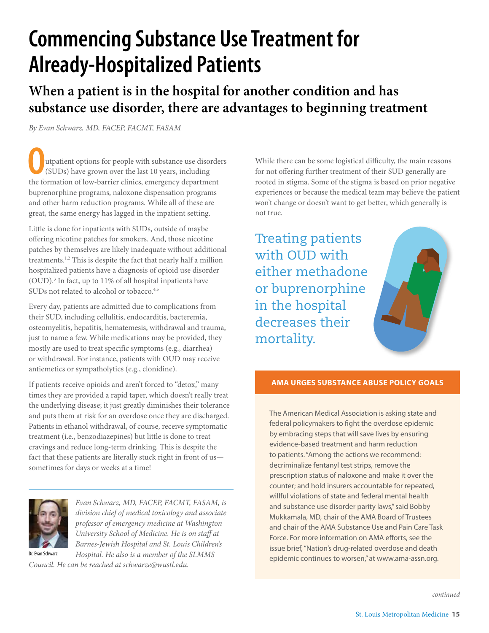# **Commencing Substance Use Treatment for Already-Hospitalized Patients**

**When a patient is in the hospital for another condition and has substance use disorder, there are advantages to beginning treatment**

*By Evan Schwarz, MD, FACEP, FACMT, FASAM*

**O**utpatient options for people with substance use disorde<br>
(SUDs) have grown over the last 10 years, including<br>
the formation of low-barrier clinics, emergency department utpatient options for people with substance use disorders (SUDs) have grown over the last 10 years, including buprenorphine programs, naloxone dispensation programs and other harm reduction programs. While all of these are great, the same energy has lagged in the inpatient setting.

Little is done for inpatients with SUDs, outside of maybe offering nicotine patches for smokers. And, those nicotine patches by themselves are likely inadequate without additional treatments.<sup>1,2</sup> This is despite the fact that nearly half a million hospitalized patients have a diagnosis of opioid use disorder (OUD).3 In fact, up to 11% of all hospital inpatients have SUDs not related to alcohol or tobacco.<sup>4,5</sup>

Every day, patients are admitted due to complications from their SUD, including cellulitis, endocarditis, bacteremia, osteomyelitis, hepatitis, hematemesis, withdrawal and trauma, just to name a few. While medications may be provided, they mostly are used to treat specific symptoms (e.g., diarrhea) or withdrawal. For instance, patients with OUD may receive antiemetics or sympatholytics (e.g., clonidine).

If patients receive opioids and aren't forced to "detox," many times they are provided a rapid taper, which doesn't really treat the underlying disease; it just greatly diminishes their tolerance and puts them at risk for an overdose once they are discharged. Patients in ethanol withdrawal, of course, receive symptomatic treatment (i.e., benzodiazepines) but little is done to treat cravings and reduce long-term drinking. This is despite the fact that these patients are literally stuck right in front of us sometimes for days or weeks at a time!



Dr. Evan Schwarz

*Evan Schwarz, MD, FACEP, FACMT, FASAM, is division chief of medical toxicology and associate professor of emergency medicine at Washington University School of Medicine. He is on staff at Barnes-Jewish Hospital and St. Louis Children's Hospital. He also is a member of the SLMMS* 

*Council. He can be reached at schwarze@wustl.edu.*

While there can be some logistical difficulty, the main reasons for not offering further treatment of their SUD generally are rooted in stigma. Some of the stigma is based on prior negative experiences or because the medical team may believe the patient won't change or doesn't want to get better, which generally is not true.

Treating patients with OUD with either methadone or buprenorphine in the hospital decreases their mortality.

#### **AMA URGES SUBSTANCE ABUSE POLICY GOALS**

The American Medical Association is asking state and federal policymakers to fight the overdose epidemic by embracing steps that will save lives by ensuring evidence-based treatment and harm reduction to patients. "Among the actions we recommend: decriminalize fentanyl test strips, remove the prescription status of naloxone and make it over the counter; and hold insurers accountable for repeated, willful violations of state and federal mental health and substance use disorder parity laws," said Bobby Mukkamala, MD, chair of the AMA Board of Trustees and chair of the AMA Substance Use and Pain Care Task Force. For more information on AMA efforts, see the issue brief, "Nation's drug-related overdose and death epidemic continues to worsen," at www.ama-assn.org.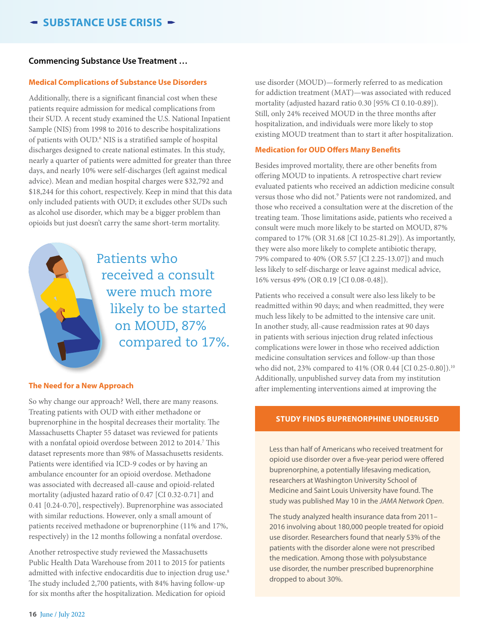#### **Commencing Substance Use Treatment …**

#### **Medical Complications of Substance Use Disorders**

Additionally, there is a significant financial cost when these patients require admission for medical complications from their SUD. A recent study examined the U.S. National Inpatient Sample (NIS) from 1998 to 2016 to describe hospitalizations of patients with OUD.<sup>6</sup> NIS is a stratified sample of hospital discharges designed to create national estimates. In this study, nearly a quarter of patients were admitted for greater than three days, and nearly 10% were self-discharges (left against medical advice). Mean and median hospital charges were \$32,792 and \$18,244 for this cohort, respectively. Keep in mind that this data only included patients with OUD; it excludes other SUDs such as alcohol use disorder, which may be a bigger problem than opioids but just doesn't carry the same short-term mortality.



Patients who received a consult were much more likely to be started on MOUD, 87% compared to 17%.

#### **The Need for a New Approach**

So why change our approach? Well, there are many reasons. Treating patients with OUD with either methadone or buprenorphine in the hospital decreases their mortality. The Massachusetts Chapter 55 dataset was reviewed for patients with a nonfatal opioid overdose between 2012 to 2014.<sup>7</sup> This dataset represents more than 98% of Massachusetts residents. Patients were identified via ICD-9 codes or by having an ambulance encounter for an opioid overdose. Methadone was associated with decreased all-cause and opioid-related mortality (adjusted hazard ratio of 0.47 [CI 0.32-0.71] and 0.41 [0.24-0.70], respectively). Buprenorphine was associated with similar reductions. However, only a small amount of patients received methadone or buprenorphine (11% and 17%, respectively) in the 12 months following a nonfatal overdose.

Another retrospective study reviewed the Massachusetts Public Health Data Warehouse from 2011 to 2015 for patients admitted with infective endocarditis due to injection drug use.<sup>8</sup> The study included 2,700 patients, with 84% having follow-up for six months after the hospitalization. Medication for opioid

use disorder (MOUD)—formerly referred to as medication for addiction treatment (MAT)—was associated with reduced mortality (adjusted hazard ratio 0.30 [95% CI 0.10-0.89]). Still, only 24% received MOUD in the three months after hospitalization, and individuals were more likely to stop existing MOUD treatment than to start it after hospitalization.

#### **Medication for OUD Offers Many Benefits**

Besides improved mortality, there are other benefits from offering MOUD to inpatients. A retrospective chart review evaluated patients who received an addiction medicine consult versus those who did not.9 Patients were not randomized, and those who received a consultation were at the discretion of the treating team. Those limitations aside, patients who received a consult were much more likely to be started on MOUD, 87% compared to 17% (OR 31.68 [CI 10.25-81.29]). As importantly, they were also more likely to complete antibiotic therapy, 79% compared to 40% (OR 5.57 [CI 2.25-13.07]) and much less likely to self-discharge or leave against medical advice, 16% versus 49% (OR 0.19 [CI 0.08-0.48]).

Patients who received a consult were also less likely to be readmitted within 90 days; and when readmitted, they were much less likely to be admitted to the intensive care unit. In another study, all-cause readmission rates at 90 days in patients with serious injection drug related infectious complications were lower in those who received addiction medicine consultation services and follow-up than those who did not, 23% compared to 41% (OR 0.44 [CI 0.25-0.80]).<sup>10</sup> Additionally, unpublished survey data from my institution after implementing interventions aimed at improving the

#### **STUDY FINDS BUPRENORPHINE UNDERUSED**

Less than half of Americans who received treatment for opioid use disorder over a five-year period were offered buprenorphine, a potentially lifesaving medication, researchers at Washington University School of Medicine and Saint Louis University have found. The study was published May 10 in the *JAMA Network Open*.

The study analyzed health insurance data from 2011– 2016 involving about 180,000 people treated for opioid use disorder. Researchers found that nearly 53% of the patients with the disorder alone were not prescribed the medication. Among those with polysubstance use disorder, the number prescribed buprenorphine dropped to about 30%.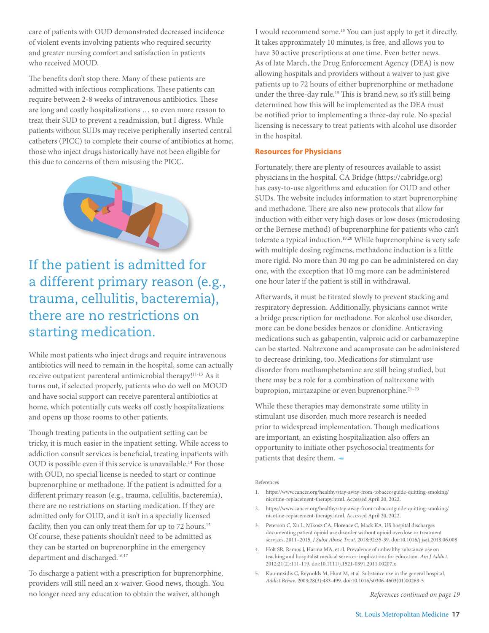care of patients with OUD demonstrated decreased incidence of violent events involving patients who required security and greater nursing comfort and satisfaction in patients who received MOUD.

The benefits don't stop there. Many of these patients are admitted with infectious complications. These patients can require between 2-8 weeks of intravenous antibiotics. These are long and costly hospitalizations … so even more reason to treat their SUD to prevent a readmission, but I digress. While patients without SUDs may receive peripherally inserted central catheters (PICC) to complete their course of antibiotics at home, those who inject drugs historically have not been eligible for this due to concerns of them misusing the PICC.



### If the patient is admitted for a different primary reason (e.g., trauma, cellulitis, bacteremia), there are no restrictions on starting medication.

While most patients who inject drugs and require intravenous antibiotics will need to remain in the hospital, some can actually receive outpatient parenteral antimicrobial therapy!<sup>11-13</sup> As it turns out, if selected properly, patients who do well on MOUD and have social support can receive parenteral antibiotics at home, which potentially cuts weeks off costly hospitalizations and opens up those rooms to other patients.

Though treating patients in the outpatient setting can be tricky, it is much easier in the inpatient setting. While access to addiction consult services is beneficial, treating inpatients with OUD is possible even if this service is unavailable.<sup>14</sup> For those with OUD, no special license is needed to start or continue buprenorphine or methadone. If the patient is admitted for a different primary reason (e.g., trauma, cellulitis, bacteremia), there are no restrictions on starting medication. If they are admitted only for OUD, and it isn't in a specially licensed facility, then you can only treat them for up to 72 hours.<sup>15</sup> Of course, these patients shouldn't need to be admitted as they can be started on buprenorphine in the emergency department and discharged.<sup>16,17</sup>

To discharge a patient with a prescription for buprenorphine, providers will still need an x-waiver. Good news, though. You no longer need any education to obtain the waiver, although

I would recommend some.18 You can just apply to get it directly. It takes approximately 10 minutes, is free, and allows you to have 30 active prescriptions at one time. Even better news. As of late March, the Drug Enforcement Agency (DEA) is now allowing hospitals and providers without a waiver to just give patients up to 72 hours of either buprenorphine or methadone under the three-day rule.15 This is brand new, so it's still being determined how this will be implemented as the DEA must be notified prior to implementing a three-day rule. No special licensing is necessary to treat patients with alcohol use disorder in the hospital.

#### **Resources for Physicians**

Fortunately, there are plenty of resources available to assist physicians in the hospital. CA Bridge (https://cabridge.org) has easy-to-use algorithms and education for OUD and other SUDs. The website includes information to start buprenorphine and methadone. There are also new protocols that allow for induction with either very high doses or low doses (microdosing or the Bernese method) of buprenorphine for patients who can't tolerate a typical induction.<sup>19,20</sup> While buprenorphine is very safe with multiple dosing regimens, methadone induction is a little more rigid. No more than 30 mg po can be administered on day one, with the exception that 10 mg more can be administered one hour later if the patient is still in withdrawal.

Afterwards, it must be titrated slowly to prevent stacking and respiratory depression. Additionally, physicians cannot write a bridge prescription for methadone. For alcohol use disorder, more can be done besides benzos or clonidine. Anticraving medications such as gabapentin, valproic acid or carbamazepine can be started. Naltrexone and acamprosate can be administered to decrease drinking, too. Medications for stimulant use disorder from methamphetamine are still being studied, but there may be a role for a combination of naltrexone with bupropion, mirtazapine or even buprenorphine.<sup>21-23</sup>

While these therapies may demonstrate some utility in stimulant use disorder, much more research is needed prior to widespread implementation. Though medications are important, an existing hospitalization also offers an opportunity to initiate other psychosocial treatments for patients that desire them.  $\blacksquare$ 

#### References

- 1. https://www.cancer.org/healthy/stay-away-from-tobacco/guide-quitting-smoking/ nicotine-replacement-therapy.html. Accessed April 20, 2022.
- 2. https://www.cancer.org/healthy/stay-away-from-tobacco/guide-quitting-smoking/ nicotine-replacement-therapy.html. Accessed April 20, 2022.
- 3. Peterson C, Xu L, Mikosz CA, Florence C, Mack KA. US hospital discharges documenting patient opioid use disorder without opioid overdose or treatment services, 2011–2015. *J Subst Abuse Treat*. 2018;92:35-39. doi:10.1016/j.jsat.2018.06.008
- 4. Holt SR, Ramos J, Harma MA, et al. Prevalence of unhealthy substance use on teaching and hospitalist medical services: implications for education. *Am J Addict*. 2012;21(2):111-119. doi:10.1111/j.1521-0391.2011.00207.x
- 5. Kouimtsidis C, Reynolds M, Hunt M, et al. Substance use in the general hospital. *Addict Behav*. 2003;28(3):483-499. doi:10.1016/s0306-4603(01)00263-5

*References continued on page 19*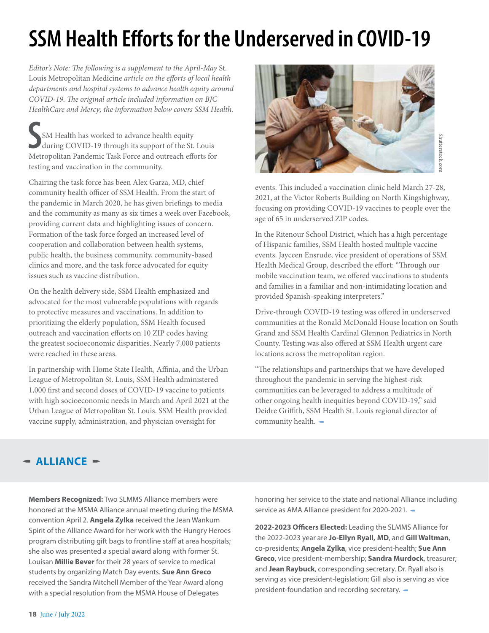# **SSM Health Efforts for the Underserved in COVID-19**

*Editor's Note: The following is a supplement to the April-May* St. Louis Metropolitan Medicine *article on the efforts of local health departments and hospital systems to advance health equity around COVID-19. The original article included information on BJC HealthCare and Mercy; the information below covers SSM Health.*

SM Health has worked to advance health equity<br>during COVID-19 through its support of the St. Louis<br>Metropolitan Pandemic Task Force and outreach efforts for SM Health has worked to advance health equity during COVID-19 through its support of the St. Louis testing and vaccination in the community.

Chairing the task force has been Alex Garza, MD, chief community health officer of SSM Health. From the start of the pandemic in March 2020, he has given briefings to media and the community as many as six times a week over Facebook, providing current data and highlighting issues of concern. Formation of the task force forged an increased level of cooperation and collaboration between health systems, public health, the business community, community-based clinics and more, and the task force advocated for equity issues such as vaccine distribution.

On the health delivery side, SSM Health emphasized and advocated for the most vulnerable populations with regards to protective measures and vaccinations. In addition to prioritizing the elderly population, SSM Health focused outreach and vaccination efforts on 10 ZIP codes having the greatest socioeconomic disparities. Nearly 7,000 patients were reached in these areas.

In partnership with Home State Health, Affinia, and the Urban League of Metropolitan St. Louis, SSM Health administered 1,000 first and second doses of COVID-19 vaccine to patients with high socioeconomic needs in March and April 2021 at the Urban League of Metropolitan St. Louis. SSM Health provided vaccine supply, administration, and physician oversight for



events. This included a vaccination clinic held March 27-28, 2021, at the Victor Roberts Building on North Kingshighway, focusing on providing COVID-19 vaccines to people over the age of 65 in underserved ZIP codes.

In the Ritenour School District, which has a high percentage of Hispanic families, SSM Health hosted multiple vaccine events. Jayceen Ensrude, vice president of operations of SSM Health Medical Group, described the effort: "Through our mobile vaccination team, we offered vaccinations to students and families in a familiar and non-intimidating location and provided Spanish-speaking interpreters."

Drive-through COVID-19 testing was offered in underserved communities at the Ronald McDonald House location on South Grand and SSM Health Cardinal Glennon Pediatrics in North County. Testing was also offered at SSM Health urgent care locations across the metropolitan region.

"The relationships and partnerships that we have developed throughout the pandemic in serving the highest-risk communities can be leveraged to address a multitude of other ongoing health inequities beyond COVID-19," said Deidre Griffith, SSM Health St. Louis regional director of community health.  $\blacksquare$ 

### $-$  ALLIANCE  $-$

**Members Recognized:** Two SLMMS Alliance members were honored at the MSMA Alliance annual meeting during the MSMA convention April 2. **Angela Zylka** received the Jean Wankum Spirit of the Alliance Award for her work with the Hungry Heroes program distributing gift bags to frontline staff at area hospitals; she also was presented a special award along with former St. Louisan **Millie Bever** for their 28 years of service to medical students by organizing Match Day events. **Sue Ann Greco** received the Sandra Mitchell Member of the Year Award along with a special resolution from the MSMA House of Delegates

honoring her service to the state and national Alliance including service as AMA Alliance president for 2020-2021.

**2022-2023 Officers Elected:** Leading the SLMMS Alliance for the 2022-2023 year are **Jo-Ellyn Ryall, MD**, and **Gill Waltman**, co-presidents; **Angela Zylka**, vice president-health; **Sue Ann Greco**, vice president-membership; **Sandra Murdock**, treasurer; and **Jean Raybuck**, corresponding secretary. Dr. Ryall also is serving as vice president-legislation; Gill also is serving as vice president-foundation and recording secretary.  $\blacktriangleleft$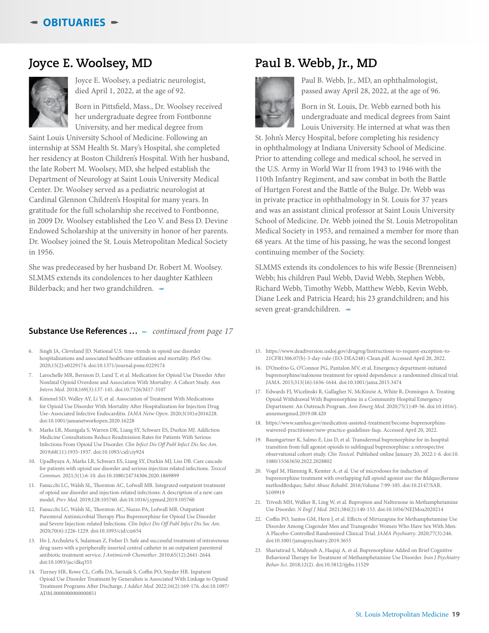### **Joyce E. Woolsey, MD**



Joyce E. Woolsey, a pediatric neurologist, died April 1, 2022, at the age of 92.

Born in Pittsfield, Mass., Dr. Woolsey received her undergraduate degree from Fontbonne University, and her medical degree from

Saint Louis University School of Medicine. Following an internship at SSM Health St. Mary's Hospital, she completed her residency at Boston Children's Hospital. With her husband, the late Robert M. Woolsey, MD, she helped establish the Department of Neurology at Saint Louis University Medical Center. Dr. Woolsey served as a pediatric neurologist at Cardinal Glennon Children's Hospital for many years. In gratitude for the full scholarship she received to Fontbonne, in 2009 Dr. Woolsey established the Leo V. and Bess D. Devine Endowed Scholarship at the university in honor of her parents. Dr. Woolsey joined the St. Louis Metropolitan Medical Society in 1956.

She was predeceased by her husband Dr. Robert M. Woolsey. SLMMS extends its condolences to her daughter Kathleen Bilderback; and her two grandchildren.  $\blacktriangleleft$ 

#### **Substance Use References ...** - *continued from page 17*

- 6. Singh JA, Cleveland JD. National U.S. time-trends in opioid use disorder hospitalizations and associated healthcare utilization and mortality. *PloS One*. 2020;15(2):e0229174. doi:10.1371/journal.pone.0229174
- Larochelle MR, Bernson D, Land T, et al. Medication for Opioid Use Disorder After Nonfatal Opioid Overdose and Association With Mortality: A Cohort Study. *Ann Intern Med*. 2018;169(3):137-145. doi:10.7326/M17-3107
- 8. Kimmel SD, Walley AY, Li Y, et al. Association of Treatment With Medications for Opioid Use Disorder With Mortality After Hospitalization for Injection Drug Use–Associated Infective Endocarditis. *JAMA Netw Open*. 2020;3(10):e2016228. doi:10.1001/jamanetworkopen.2020.16228
- 9. Marks LR, Munigala S, Warren DK, Liang SY, Schwarz ES, Durkin MJ. Addiction Medicine Consultations Reduce Readmission Rates for Patients With Serious Infections From Opioid Use Disorder. *Clin Infect Dis Off Publ Infect Dis Soc Am*. 2019;68(11):1935-1937. doi:10.1093/cid/ciy924
- 10. Upadhyaya A, Marks LR, Schwarz ES, Liang SY, Durkin MJ, Liss DB. Care cascade for patients with opioid use disorder and serious injection related infections. *Toxicol Commun*. 2021;5(1):6-10. doi:10.1080/24734306.2020.1869899
- 11. Fanucchi LC, Walsh SL, Thornton AC, Lofwall MR. Integrated outpatient treatment of opioid use disorder and injection-related infections: A description of a new care model. *Prev Med*. 2019;128:105760. doi:10.1016/j.ypmed.2019.105760
- 12. Fanucchi LC, Walsh SL, Thornton AC, Nuzzo PA, Lofwall MR. Outpatient Parenteral Antimicrobial Therapy Plus Buprenorphine for Opioid Use Disorder and Severe Injection-related Infections. *Clin Infect Dis Off Publ Infect Dis Soc Am*. 2020;70(6):1226-1229. doi:10.1093/cid/ciz654
- 13. Ho J, Archuleta S, Sulaiman Z, Fisher D. Safe and successful treatment of intravenous drug users with a peripherally inserted central catheter in an outpatient parenteral antibiotic treatment service. *J Antimicrob Chemother*. 2010;65(12):2641-2644. doi:10.1093/jac/dkq355
- 14. Tierney HR, Rowe CL, Coffa DA, Sarnaik S, Coffin PO, Snyder HR. Inpatient Opioid Use Disorder Treatment by Generalists is Associated With Linkage to Opioid Treatment Programs After Discharge. *J Addict Med*. 2022;16(2):169-176. doi:10.1097/ ADM.0000000000000851

### **Paul B. Webb, Jr., MD**



Paul B. Webb, Jr., MD, an ophthalmologist, passed away April 28, 2022, at the age of 96.

Born in St. Louis, Dr. Webb earned both his undergraduate and medical degrees from Saint Louis University. He interned at what was then

St. John's Mercy Hospital, before completing his residency in ophthalmology at Indiana University School of Medicine. Prior to attending college and medical school, he served in the U.S. Army in World War II from 1943 to 1946 with the 110th Infantry Regiment, and saw combat in both the Battle of Hurtgen Forest and the Battle of the Bulge. Dr. Webb was in private practice in ophthalmology in St. Louis for 37 years and was an assistant clinical professor at Saint Louis University School of Medicine. Dr. Webb joined the St. Louis Metropolitan Medical Society in 1953, and remained a member for more than 68 years. At the time of his passing, he was the second longest continuing member of the Society.

SLMMS extends its condolences to his wife Bessie (Brenneisen) Webb; his children Paul Webb, David Webb, Stephen Webb, Richard Webb, Timothy Webb, Matthew Webb, Kevin Webb, Diane Leek and Patricia Heard; his 23 grandchildren; and his seven great-grandchildren.  $\equiv$ 

- 15. https://www.deadiversion.usdoj.gov/drugreg/Instructions-to-request-exception-to-21CFR1306.07(b)-3-day-rule-(EO-DEA248)-Clean.pdf. Accessed April 20, 2022.
- 16. D'Onofrio G, O'Connor PG, Pantalon MV, et al. Emergency department-initiated buprenorphine/naloxone treatment for opioid dependence: a randomized clinical trial. *JAMA*. 2015;313(16):1636-1644. doi:10.1001/jama.2015.3474
- 17. Edwards FJ, Wicelinski R, Gallagher N, McKinzie A, White R, Domingos A. Treating Opioid Withdrawal With Buprenorphine in a Community Hospital Emergency Department: An Outreach Program. *Ann Emerg Med*. 2020;75(1):49-56. doi:10.1016/j. annemergmed.2019.08.420
- 18. https://www.samhsa.gov/medication-assisted-treatment/become-buprenorphinewaivered-practitioner/new-practice-guidelines-faqs. Accessed April 20, 2022.
- 19. Baumgartner K, Salmo E, Liss D, et al. Transdermal buprenorphine for in-hospital transition from full agonist opioids to sublingual buprenorphine: a retrospective observational cohort study. *Clin Toxicol*. Published online January 20, 2022:1-6. doi:10. 1080/15563650.2022.2028802
- 20. Vogel M, Hämmig R, Kemter A, et al. Use of microdoses for induction of buprenorphine treatment with overlapping full opioid agonist use: the "Bernese method" *Subst Abuse Rehabil*. 2016;Volume 7:99-105. doi:10.2147/SAR. S109919
- 21. Trivedi MH, Walker R, Ling W, et al. Bupropion and Naltrexone in Methamphetamine Use Disorder. *N Engl J Med*. 2021;384(2):140-153. doi:10.1056/NEJMoa2020214
- 22. Coffin PO, Santos GM, Hern J, et al. Effects of Mirtazapine for Methamphetamine Use Disorder Among Cisgender Men and Transgender Women Who Have Sex With Men: A Placebo-Controlled Randomized Clinical Trial. *JAMA Psychiatry*. 2020;77(3):246. doi:10.1001/jamapsychiatry.2019.3655
- 23. Shariatirad S, Mahjoub A, Haqiqi A, et al. Buprenorphine Added on Brief Cognitive Behavioral Therapy for Treatment of Methamphetamine Use Disorder. *Iran J Psychiatry Behav Sci*. 2018;12(2). doi:10.5812/ijpbs.11529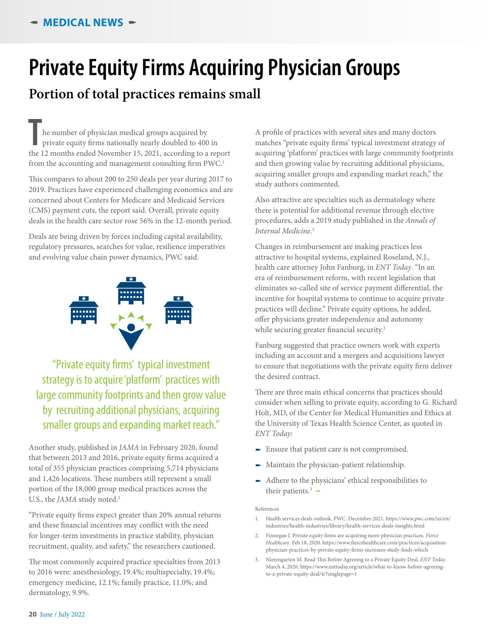# **Private Equity Firms Acquiring Physician Groups**

### **Portion of total practices remains small**

The number of physician medical groups acquired by<br>
private equity firms nationally nearly doubled to 400 in<br>
the 12 months ended November 15, 2021, according to a report he number of physician medical groups acquired by private equity firms nationally nearly doubled to 400 in from the accounting and management consulting firm PWC.<sup>1</sup>

This compares to about 200 to 250 deals per year during 2017 to 2019. Practices have experienced challenging economics and are concerned about Centers for Medicare and Medicaid Services (CMS) payment cuts, the report said. Overall, private equity deals in the health care sector rose 56% in the 12-month period.

Deals are being driven by forces including capital availability, regulatory pressures, searches for value, resilience imperatives and evolving value chain power dynamics, PWC said.



"Private equity firms' typical investment strategy is to acquire 'platform' practices with large community footprints and then grow value by recruiting additional physicians, acquiring smaller groups and expanding market reach."

Another study, published in *JAMA* in February 2020, found that between 2013 and 2016, private equity firms acquired a total of 355 physician practices comprising 5,714 physicians and 1,426 locations. These numbers still represent a small portion of the 18,000 group medical practices across the U.S., the *JAMA* study noted.<sup>2</sup>

"Private equity firms expect greater than 20% annual returns and these financial incentives may conflict with the need for longer-term investments in practice stability, physician recruitment, quality, and safety," the researchers cautioned.

The most commonly acquired practice specialties from 2013 to 2016 were: anesthesiology, 19.4%; multispecialty, 19.4%; emergency medicine, 12.1%; family practice, 11.0%; and dermatology, 9.9%.

A profile of practices with several sites and many doctors matches "private equity firms' typical investment strategy of acquiring 'platform' practices with large community footprints and then growing value by recruiting additional physicians, acquiring smaller groups and expanding market reach," the study authors commented.

Also attractive are specialties such as dermatology where there is potential for additional revenue through elective procedures, adds a 2019 study published in the *Annals of Internal Medicine*. 3

Changes in reimbursement are making practices less attractive to hospital systems, explained Roseland, N.J., health care attorney John Fanburg, in *ENT Today*. "In an era of reimbursement reform, with recent legislation that eliminates so-called site of service payment differential, the incentive for hospital systems to continue to acquire private practices will decline." Private equity options, he added, offer physicians greater independence and autonomy while securing greater financial security.<sup>3</sup>

Fanburg suggested that practice owners work with experts including an account and a mergers and acquisitions lawyer to ensure that negotiations with the private equity firm deliver the desired contract.

There are three main ethical concerns that practices should consider when selling to private equity, according to G. Richard Holt, MD, of the Center for Medical Humanities and Ethics at the University of Texas Health Science Center, as quoted in *ENT Today*:

- Ensure that patient care is not compromised.
- Maintain the physician-patient relationship.
- Adhere to the physicians' ethical responsibilities to their patients. $3$   $\sim$

#### References

- 1. Health services deals outlook. PWC. December 2021. https://www.pwc.com/us/en/ industries/health-industries/library/health-services-deals-insights.html
- 2. Finnegan J. Private equity firms are acquiring more physician practices. *Fierce Healthcare*. Feb 18, 2020. https://www.fiercehealthcare.com/practices/acquisitionphysician-practices-by-private-equity-firms-increases-study-finds-which
- 3. Nierengarten M. Read This Before Agreeing to a Private Equity Deal. *ENT Today*. March 4, 2020. https://www.enttoday.org/article/what-to-know-before-agreeingto-a-private-equity-deal/4/?singlepage=1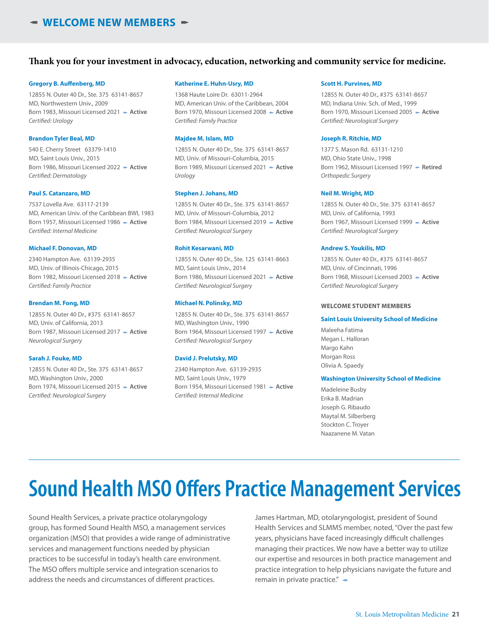#### **Thank you for your investment in advocacy, education, networking and community service for medicine.**

#### **Gregory B. Auffenberg, MD**

12855 N. Outer 40 Dr., Ste. 375 63141-8657 MD, Northwestern Univ., 2009 Born 1983, Missouri Licensed 2021 - Active *Certified: Urology*

#### **Brandon Tyler Beal, MD**

540 E. Cherry Street 63379-1410 MD, Saint Louis Univ., 2015 Born 1986, Missouri Licensed 2022 - Active *Certified: Dermatology*

#### **Paul S. Catanzaro, MD**

7537 Lovella Ave. 63117-2139 MD, American Univ. of the Caribbean BWI, 1983 Born 1957, Missouri Licensed 1986 - Active *Certified: Internal Medicine*

#### **Michael F. Donovan, MD**

2340 Hampton Ave. 63139-2935 MD, Univ. of Illinois-Chicago, 2015 Born 1982, Missouri Licensed 2018 - Active *Certified: Family Practice*

#### **Brendan M. Fong, MD**

12855 N. Outer 40 Dr., #375 63141-8657 MD, Univ. of California, 2013 Born 1987, Missouri Licensed 2017 - **Active** *Neurological Surgery*

#### **Sarah J. Fouke, MD**

12855 N. Outer 40 Dr., Ste. 375 63141-8657 MD, Washington Univ., 2000 Born 1974, Missouri Licensed 2015 - Active *Certified: Neurological Surgery*

#### **Katherine E. Huhn-Usry, MD**

1368 Haute Loire Dr. 63011-2964 MD, American Univ. of the Caribbean, 2004 Born 1970, Missouri Licensed 2008 - Active *Certified: Family Practice*

#### **Majdee M. Islam, MD**

12855 N. Outer 40 Dr., Ste. 375 63141-8657 MD, Univ. of Missouri-Columbia, 2015 Born 1989, Missouri Licensed 2021 - Active *Urology*

#### **Stephen J. Johans, MD**

12855 N. Outer 40 Dr., Ste. 375 63141-8657 MD, Univ. of Missouri-Columbia, 2012 Born 1984, Missouri Licensed 2019 - Active *Certified: Neurological Surgery*

#### **Rohit Kesarwani, MD**

12855 N. Outer 40 Dr., Ste. 125 63141-8663 MD, Saint Louis Univ., 2014 Born 1986, Missouri Licensed 2021 - Active *Certified: Neurological Surgery*

#### **Michael N. Polinsky, MD**

12855 N. Outer 40 Dr., Ste. 375 63141-8657 MD, Washington Univ., 1990 Born 1964, Missouri Licensed 1997 - **Active** *Certified: Neurological Surgery*

#### **David J. Prelutsky, MD**

2340 Hampton Ave. 63139-2935 MD, Saint Louis Univ., 1979 Born 1954, Missouri Licensed 1981 p **Active** *Certified: Internal Medicine*

#### **Scott H. Purvines, MD**

12855 N. Outer 40 Dr., #375 63141-8657 MD, Indiana Univ. Sch. of Med., 1999 Born 1970, Missouri Licensed 2005 - Active *Certified: Neurological Surgery*

#### **Joseph R. Ritchie, MD**

1377 S. Mason Rd. 63131-1210 MD, Ohio State Univ., 1998 Born 1962, Missouri Licensed 1997 - Retired *Orthopedic Surgery*

#### **Neil M. Wright, MD**

12855 N. Outer 40 Dr., Ste. 375 63141-8657 MD, Univ. of California, 1993 Born 1967, Missouri Licensed 1999 - Active *Certified: Neurological Surgery*

#### **Andrew S. Youkilis, MD**

12855 N. Outer 40 Dr., #375 63141-8657 MD, Univ. of Cincinnati, 1996 Born 1968, Missouri Licensed 2003 - Active *Certified: Neurological Surgery*

#### **WELCOME STUDENT MEMBERS**

#### **Saint Louis University School of Medicine**

Maleeha Fatima Megan L. Halloran Margo Kahn Morgan Ross Olivia A. Spaedy

#### **Washington University School of Medicine**

Madeleine Busby Erika B. Madrian Joseph G. Ribaudo Maytal M. Silberberg Stockton C. Troyer Naazanene M. Vatan

### **Sound Health MSO Offers Practice Management Services**

Sound Health Services, a private practice otolaryngology group, has formed Sound Health MSO, a management services organization (MSO) that provides a wide range of administrative services and management functions needed by physician practices to be successful in today's health care environment. The MSO offers multiple service and integration scenarios to address the needs and circumstances of different practices.

James Hartman, MD, otolaryngologist, president of Sound Health Services and SLMMS member, noted, "Over the past few years, physicians have faced increasingly difficult challenges managing their practices. We now have a better way to utilize our expertise and resources in both practice management and practice integration to help physicians navigate the future and remain in private practice." $\blacktriangleleft$